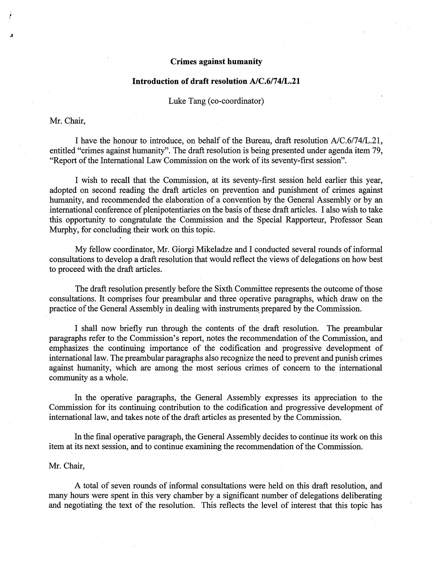# Crimes against humanity

### Introduction of draft resolution A/C.6/74/L.21

Luke Tang (co-coordinator)

### Mr. Chair,

I have the honour to introduce, on behalf of the Bureau, draft resolution A/C.6/74/L.21, entitled "crimes against humanity". The draft resolution is being presented under agenda item 79, "Report of the International Law Commission on the work of its seventy-first session".

I wish to recall that the Commission, at its seventy-first session held earlier this year, adopted on second reading the draft articles on prevention and punishment of crimes against humanity, and recommended the elaboration of a convention by the General Assembly or by an international conference of plenipotentiaries on the basis of these draft articles. I also wish to take this opportunity to congratulate the Commission and the Special Rapporteur, Professor Sean Murphy, for concluding their work on this topic.

My fellow coordinator, Mr. Giorgi Mikeladze and I conducted several rounds of informal consultations to develop a draft resolution that would reflect the views of delegations on how best to proceed with the draft articles.

The draft resolution presently before the Sixth Committee represents the outcome of those consultations. It comprises four preambular and three operative paragraphs, which draw on the practice of the General Assembly in dealing with instruments prepared by the Commission.

I shall now briefly run through the contents of the draft resolution. The preambular paragraphs refer to the Commission's report, notes the recommendation of the Commission, and emphasizes the continuing importance of the codification and progressive development of intemational law. The preambular paragraphs also recognize the need to prevent and punish crimes against humanity, which are among the most serious crimes of concern to the intemational community as a whole.

In the operative paragraphs, the General Assembly expresses its appreciation to the Commission for its continuing contribution to the codification and progressive development of intemational law, and takes note of the draft articles as presented by the Commission.

In the final operative paragraph, the General Assembly decides to continue its work on this item at its next session, and to continue examining the recommendation of the Commission.

### Mr. Chair,

A total of seven rounds of informal consultations were held on this draft resolution, and many hours were spent in this very chamber by a significant number of delegations deliberating and negotiating the text of the resolution. This reflects the level of interest that this topic has